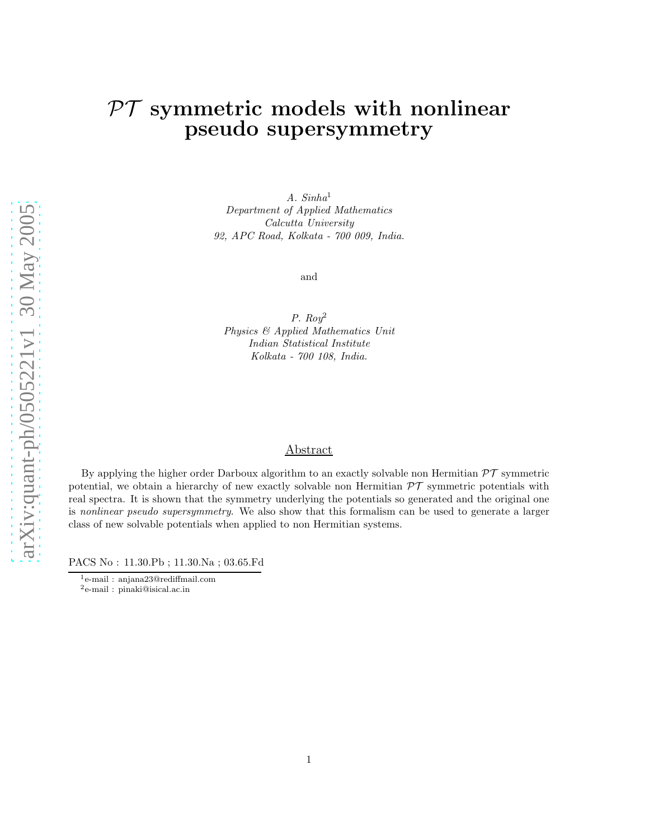# $PT$  symmetric models with nonlinear pseudo supersymmetry

 $A. \; Sinha<sup>1</sup>$ Department of Applied Mathematics Calcutta University 92, APC Road, Kolkata - 700 009, India.

and

P.  $Roy^2$ Physics & Applied Mathematics Unit Indian Statistical Institute Kolkata - 700 108, India.

#### Abstract

By applying the higher order Darboux algorithm to an exactly solvable non Hermitian  $\mathcal{PT}$  symmetric potential, we obtain a hierarchy of new exactly solvable non Hermitian  $\mathcal{PT}$  symmetric potentials with real spectra. It is shown that the symmetry underlying the potentials so generated and the original one is nonlinear pseudo supersymmetry. We also show that this formalism can be used to generate a larger class of new solvable potentials when applied to non Hermitian systems.

PACS No : 11.30.Pb ; 11.30.Na ; 03.65.Fd

2 e-mail : pinaki@isical.ac.in

<sup>1</sup>e-mail : anjana23@rediffmail.com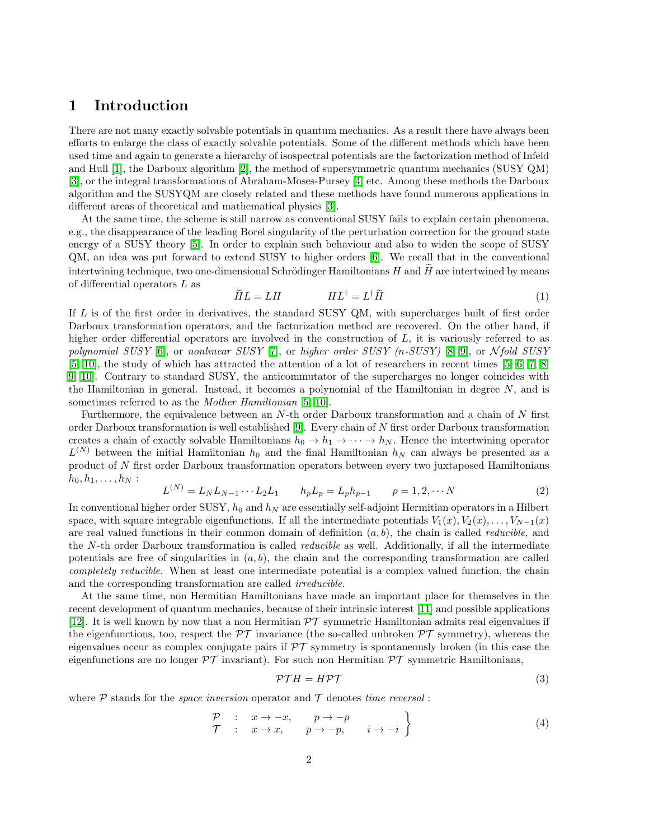### 1 Introduction

There are not many exactly solvable potentials in quantum mechanics. As a result there have always been efforts to enlarge the class of exactly solvable potentials. Some of the different methods which have been used time and again to generate a hierarchy of isospectral potentials are the factorization method of Infeld and Hull [\[1\]](#page-16-0), the Darboux algorithm [\[2\]](#page-16-1), the method of supersymmetric quantum mechanics (SUSY QM) [\[3\]](#page-16-2), or the integral transformations of Abraham-Moses-Pursey [\[4\]](#page-16-3) etc. Among these methods the Darboux algorithm and the SUSYQM are closely related and these methods have found numerous applications in different areas of theoretical and mathematical physics [\[3\]](#page-16-2).

At the same time, the scheme is still narrow as conventional SUSY fails to explain certain phenomena, e.g., the disappearance of the leading Borel singularity of the perturbation correction for the ground state energy of a SUSY theory [\[5\]](#page-16-4). In order to explain such behaviour and also to widen the scope of SUSY QM, an idea was put forward to extend SUSY to higher orders [\[6\]](#page-16-5). We recall that in the conventional intertwining technique, two one-dimensional Schrödinger Hamiltonians  $H$  and  $\tilde{H}$  are intertwined by means of differential operators L as

$$
\widetilde{H}L = LH \qquad \qquad HL^{\dagger} = L^{\dagger}\widetilde{H} \tag{1}
$$

If L is of the first order in derivatives, the standard SUSY QM, with supercharges built of first order Darboux transformation operators, and the factorization method are recovered. On the other hand, if higher order differential operators are involved in the construction of L, it is variously referred to as polynomial SUSY [\[6\]](#page-16-5), or nonlinear SUSY [\[7\]](#page-16-6), or higher order SUSY  $(n-SUSY)$  [\[8,](#page-16-7) [9\]](#page-16-8), or N fold SUSY [\[5,](#page-16-4) [10\]](#page-16-9), the study of which has attracted the attention of a lot of researchers in recent times [\[5,](#page-16-4) [6,](#page-16-5) [7,](#page-16-6) [8,](#page-16-7) [9,](#page-16-8) [10\]](#page-16-9). Contrary to standard SUSY, the anticommutator of the supercharges no longer coincides with the Hamiltonian in general. Instead, it becomes a polynomial of the Hamiltonian in degree  $N$ , and is sometimes referred to as the *Mother Hamiltonian* [\[5,](#page-16-4) [10\]](#page-16-9).

Furthermore, the equivalence between an  $N$ -th order Darboux transformation and a chain of  $N$  first order Darboux transformation is well established [\[9\]](#page-16-8). Every chain of N first order Darboux transformation creates a chain of exactly solvable Hamiltonians  $h_0 \to h_1 \to \cdots \to h_N$ . Hence the intertwining operator  $L^{(N)}$  between the initial Hamiltonian  $h_0$  and the final Hamiltonian  $h_N$  can always be presented as a product of N first order Darboux transformation operators between every two juxtaposed Hamiltonians  $h_0, h_1, \ldots, h_N$ :

$$
L^{(N)} = L_N L_{N-1} \cdots L_2 L_1 \qquad h_p L_p = L_p h_{p-1} \qquad p = 1, 2, \cdots N \tag{2}
$$

In conventional higher order SUSY,  $h_0$  and  $h_N$  are essentially self-adjoint Hermitian operators in a Hilbert space, with square integrable eigenfunctions. If all the intermediate potentials  $V_1(x), V_2(x), \ldots, V_{N-1}(x)$ are real valued functions in their common domain of definition  $(a, b)$ , the chain is called *reducible*, and the N-th order Darboux transformation is called *reducible* as well. Additionally, if all the intermediate potentials are free of singularities in  $(a, b)$ , the chain and the corresponding transformation are called completely reducible. When at least one intermediate potential is a complex valued function, the chain and the corresponding transformation are called *irreducible*.

At the same time, non Hermitian Hamiltonians have made an important place for themselves in the recent development of quantum mechanics, because of their intrinsic interest [\[11\]](#page-16-10) and possible applications [\[12\]](#page-16-11). It is well known by now that a non-Hermitian  $\mathcal{PT}$  symmetric Hamiltonian admits real eigenvalues if the eigenfunctions, too, respect the  $\mathcal{PT}$  invariance (the so-called unbroken  $\mathcal{PT}$  symmetry), whereas the eigenvalues occur as complex conjugate pairs if  $\mathcal{PT}$  symmetry is spontaneously broken (in this case the eigenfunctions are no longer  $\mathcal{PT}$  invariant). For such non Hermitian  $\mathcal{PT}$  symmetric Hamiltonians,

$$
\mathcal{PT}H = H\mathcal{PT} \tag{3}
$$

<span id="page-1-0"></span>where  $P$  stands for the *space inversion* operator and  $T$  denotes time reversal:

<span id="page-1-1"></span>
$$
\begin{array}{ccc}\n\mathcal{P} & : & x \to -x, & p \to -p \\
\mathcal{T} & : & x \to x, & p \to -p, & i \to -i\n\end{array}\n\bigg\}\n\tag{4}
$$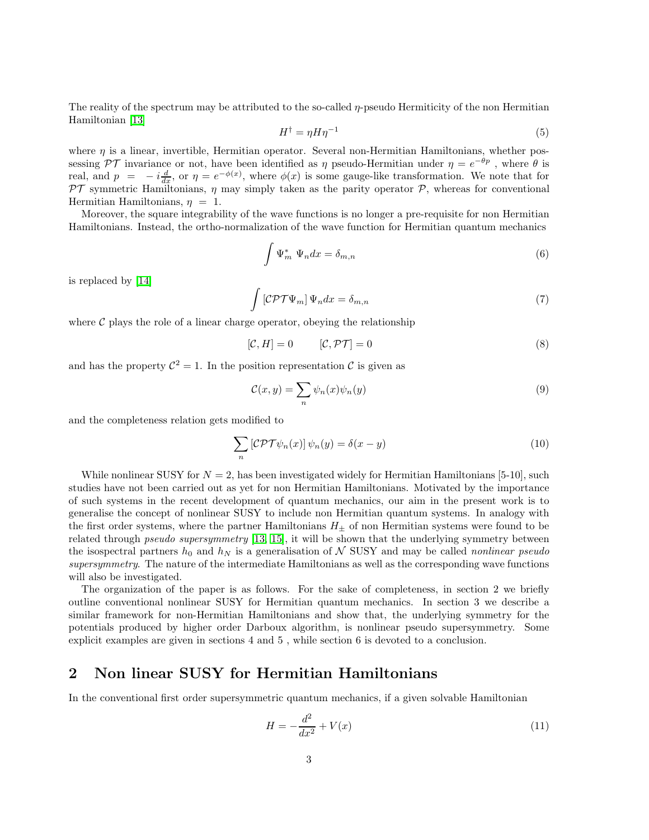The reality of the spectrum may be attributed to the so-called  $\eta$ -pseudo Hermiticity of the non Hermitian Hamiltonian [\[13\]](#page-16-12)

$$
H^{\dagger} = \eta H \eta^{-1} \tag{5}
$$

where  $\eta$  is a linear, invertible, Hermitian operator. Several non-Hermitian Hamiltonians, whether possessing  $\mathcal{PT}$  invariance or not, have been identified as  $\eta$  pseudo-Hermitian under  $\eta = e^{-\theta p}$ , where  $\theta$  is real, and  $p = -i\frac{d}{dx}$ , or  $\eta = e^{-\phi(x)}$ , where  $\phi(x)$  is some gauge-like transformation. We note that for  $PT$  symmetric Hamiltonians,  $\eta$  may simply taken as the parity operator  $P$ , whereas for conventional Hermitian Hamiltonians,  $\eta = 1$ .

Moreover, the square integrability of the wave functions is no longer a pre-requisite for non Hermitian Hamiltonians. Instead, the ortho-normalization of the wave function for Hermitian quantum mechanics

$$
\int \Psi_m^* \Psi_n dx = \delta_{m,n} \tag{6}
$$

is replaced by [\[14\]](#page-17-0)

<span id="page-2-0"></span>
$$
\int \left[ \mathcal{C} \mathcal{P} \mathcal{T} \Psi_m \right] \Psi_n dx = \delta_{m,n} \tag{7}
$$

where  $\mathcal C$  plays the role of a linear charge operator, obeying the relationship

$$
[\mathcal{C}, H] = 0 \qquad [\mathcal{C}, \mathcal{PT}] = 0 \tag{8}
$$

and has the property  $\mathcal{C}^2 = 1$ . In the position representation  $\mathcal C$  is given as

$$
\mathcal{C}(x,y) = \sum_{n} \psi_n(x)\psi_n(y) \tag{9}
$$

and the completeness relation gets modified to

$$
\sum_{n} \left[ \mathcal{CPT}\psi_n(x) \right] \psi_n(y) = \delta(x - y) \tag{10}
$$

While nonlinear SUSY for  $N = 2$ , has been investigated widely for Hermitian Hamiltonians [5-10], such studies have not been carried out as yet for non Hermitian Hamiltonians. Motivated by the importance of such systems in the recent development of quantum mechanics, our aim in the present work is to generalise the concept of nonlinear SUSY to include non Hermitian quantum systems. In analogy with the first order systems, where the partner Hamiltonians  $H_{\pm}$  of non Hermitian systems were found to be related through *pseudo supersymmetry* [\[13,](#page-16-12) [15\]](#page-17-1), it will be shown that the underlying symmetry between the isospectral partners  $h_0$  and  $h_N$  is a generalisation of  $N$  SUSY and may be called nonlinear pseudo supersymmetry. The nature of the intermediate Hamiltonians as well as the corresponding wave functions will also be investigated.

The organization of the paper is as follows. For the sake of completeness, in section 2 we briefly outline conventional nonlinear SUSY for Hermitian quantum mechanics. In section 3 we describe a similar framework for non-Hermitian Hamiltonians and show that, the underlying symmetry for the potentials produced by higher order Darboux algorithm, is nonlinear pseudo supersymmetry. Some explicit examples are given in sections 4 and 5 , while section 6 is devoted to a conclusion.

#### 2 Non linear SUSY for Hermitian Hamiltonians

In the conventional first order supersymmetric quantum mechanics, if a given solvable Hamiltonian

$$
H = -\frac{d^2}{dx^2} + V(x)
$$
 (11)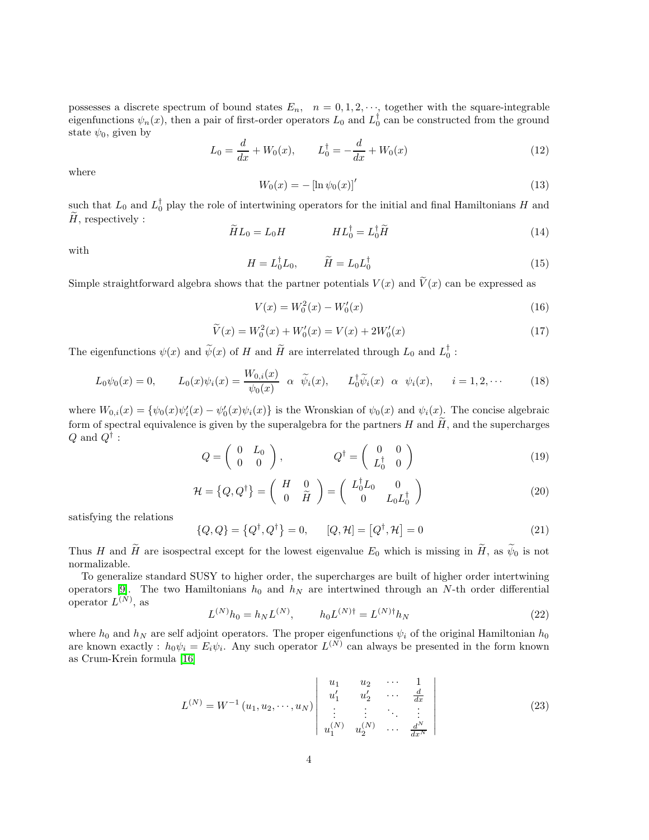possesses a discrete spectrum of bound states  $E_n$ ,  $n = 0, 1, 2, \dots$ , together with the square-integrable eigenfunctions  $\psi_n(x)$ , then a pair of first-order operators  $L_0$  and  $L_0^{\dagger}$  can be constructed from the ground state  $\psi_0$ , given by

$$
L_0 = \frac{d}{dx} + W_0(x), \qquad L_0^{\dagger} = -\frac{d}{dx} + W_0(x) \tag{12}
$$

where

$$
W_0(x) = -\left[\ln \psi_0(x)\right]'
$$
\n(13)

such that  $L_0$  and  $L_0^{\dagger}$  play the role of intertwining operators for the initial and final Hamiltonians H and  $H$ , respectively :

$$
\widetilde{H}L_0 = L_0H \qquad \qquad HL_0^{\dagger} = L_0^{\dagger} \widetilde{H} \tag{14}
$$

with

$$
H = L_0^{\dagger} L_0, \qquad \tilde{H} = L_0 L_0^{\dagger} \tag{15}
$$

Simple straightforward algebra shows that the partner potentials  $V(x)$  and  $\tilde{V}(x)$  can be expressed as

$$
V(x) = W_0^2(x) - W_0'(x)
$$
\n(16)

$$
\widetilde{V}(x) = W_0^2(x) + W_0'(x) = V(x) + 2W_0'(x)
$$
\n(17)

The eigenfunctions  $\psi(x)$  and  $\widetilde{\psi}(x)$  of H and  $\widetilde{H}$  are interrelated through  $L_0$  and  $L_0^{\dagger}$ :

$$
L_0\psi_0(x) = 0, \qquad L_0(x)\psi_i(x) = \frac{W_{0,i}(x)}{\psi_0(x)} \quad \alpha \quad \tilde{\psi}_i(x), \qquad L_0^{\dagger} \tilde{\psi}_i(x) \quad \alpha \quad \psi_i(x), \qquad i = 1, 2, \cdots \tag{18}
$$

where  $W_{0,i}(x) = \{\psi_0(x)\psi_i'(x) - \psi_0'(x)\psi_i(x)\}\$ is the Wronskian of  $\psi_0(x)$  and  $\psi_i(x)$ . The concise algebraic form of spectral equivalence is given by the superalgebra for the partners H and  $\tilde{H}$ , and the supercharges  $Q$  and  $Q^{\dagger}$  :

$$
Q = \left(\begin{array}{cc} 0 & L_0 \\ 0 & 0 \end{array}\right), \qquad Q^{\dagger} = \left(\begin{array}{cc} 0 & 0 \\ L_0^{\dagger} & 0 \end{array}\right) \tag{19}
$$

$$
\mathcal{H} = \left\{ Q, Q^{\dagger} \right\} = \left( \begin{array}{cc} H & 0 \\ 0 & \widetilde{H} \end{array} \right) = \left( \begin{array}{cc} L_0^{\dagger} L_0 & 0 \\ 0 & L_0 L_0^{\dagger} \end{array} \right) \tag{20}
$$

satisfying the relations

$$
\{Q, Q\} = \{Q^{\dagger}, Q^{\dagger}\} = 0, \qquad [Q, \mathcal{H}] = [Q^{\dagger}, \mathcal{H}] = 0 \tag{21}
$$

Thus H and  $\widetilde{H}$  are isospectral except for the lowest eigenvalue  $E_0$  which is missing in  $\widetilde{H}$ , as  $\widetilde{\psi}_0$  is not normalizable.

To generalize standard SUSY to higher order, the supercharges are built of higher order intertwining operators [\[9\]](#page-16-8). The two Hamiltonians  $h_0$  and  $h_N$  are intertwined through an N-th order differential operator  $L^{(N)}$ , as

$$
L^{(N)}h_0 = h_N L^{(N)}, \qquad h_0 L^{(N)\dagger} = L^{(N)\dagger} h_N \tag{22}
$$

where  $h_0$  and  $h_N$  are self adjoint operators. The proper eigenfunctions  $\psi_i$  of the original Hamiltonian  $h_0$ are known exactly :  $h_0 \psi_i = E_i \psi_i$ . Any such operator  $L^{(N)}$  can always be presented in the form known as Crum-Krein formula [\[16\]](#page-17-2)

$$
L^{(N)} = W^{-1} (u_1, u_2, \cdots, u_N) \begin{vmatrix} u_1 & u_2 & \cdots & 1 \\ u'_1 & u'_2 & \cdots & \frac{d}{dx} \\ \vdots & \vdots & \ddots & \vdots \\ u_1^{(N)} & u_2^{(N)} & \cdots & \frac{d^N}{dx^N} \end{vmatrix}
$$
 (23)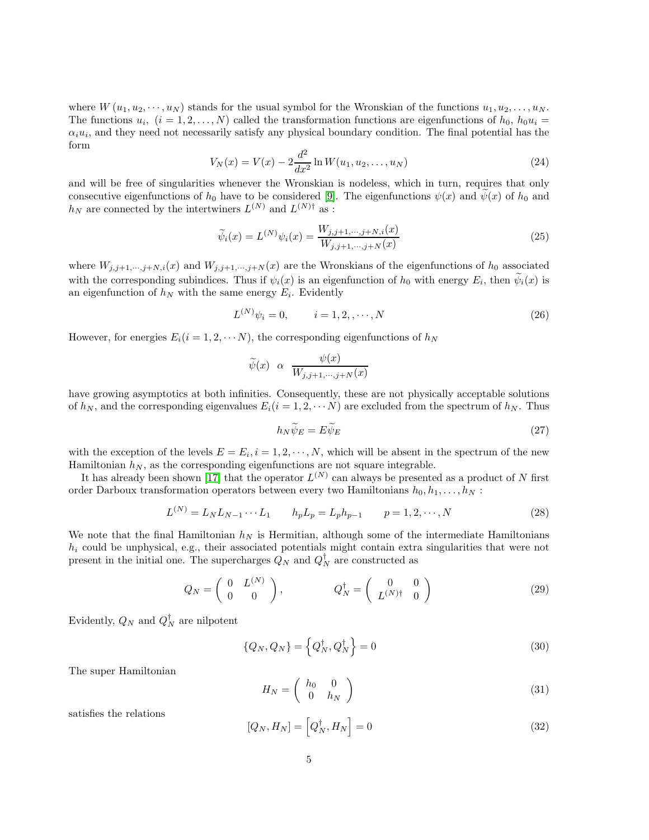where  $W(u_1, u_2, \dots, u_N)$  stands for the usual symbol for the Wronskian of the functions  $u_1, u_2, \dots, u_N$ . The functions  $u_i$ ,  $(i = 1, 2, ..., N)$  called the transformation functions are eigenfunctions of  $h_0$ ,  $h_0u_i =$  $\alpha_i u_i$ , and they need not necessarily satisfy any physical boundary condition. The final potential has the form

$$
V_N(x) = V(x) - 2\frac{d^2}{dx^2} \ln W(u_1, u_2, \dots, u_N)
$$
\n(24)

<span id="page-4-0"></span>and will be free of singularities whenever the Wronskian is nodeless, which in turn, requires that only consecutive eigenfunctions of  $h_0$  have to be considered [\[9\]](#page-16-8). The eigenfunctions  $\psi(x)$  and  $\psi(x)$  of  $h_0$  and  $h_N$  are connected by the intertwiners  $L^{(N)}$  and  $L^{(N)\dagger}$  as :

$$
\widetilde{\psi}_i(x) = L^{(N)} \psi_i(x) = \frac{W_{j,j+1,\cdots,j+N,i}(x)}{W_{j,j+1,\cdots,j+N}(x)}
$$
\n(25)

where  $W_{j,j+1,\dots,j+N,i}(x)$  and  $W_{j,j+1,\dots,j+N}(x)$  are the Wronskians of the eigenfunctions of  $h_0$  associated with the corresponding subindices. Thus if  $\psi_i(x)$  is an eigenfunction of  $h_0$  with energy  $E_i$ , then  $\psi_i(x)$  is an eigenfunction of  $h_N$  with the same energy  $E_i$ . Evidently

$$
L^{(N)}\psi_i = 0, \qquad i = 1, 2, \dots, N
$$
\n(26)

However, for energies  $E_i(i = 1, 2, \cdots N)$ , the corresponding eigenfunctions of  $h_N$ 

$$
\widetilde{\psi}(x)
$$
  $\alpha$   $\frac{\psi(x)}{W_{j,j+1,\cdots,j+N}(x)}$ 

have growing asymptotics at both infinities. Consequently, these are not physically acceptable solutions of  $h_N$ , and the corresponding eigenvalues  $E_i(i = 1, 2, \cdots N)$  are excluded from the spectrum of  $h_N$ . Thus

$$
h_N \widetilde{\psi}_E = E \widetilde{\psi}_E \tag{27}
$$

with the exception of the levels  $E = E_i, i = 1, 2, \dots, N$ , which will be absent in the spectrum of the new Hamiltonian  $h_N$ , as the corresponding eigenfunctions are not square integrable.

It has already been shown [\[17\]](#page-17-3) that the operator  $L^{(N)}$  can always be presented as a product of N first order Darboux transformation operators between every two Hamiltonians  $h_0, h_1, \ldots, h_N$ :

$$
L^{(N)} = L_N L_{N-1} \cdots L_1 \qquad h_p L_p = L_p h_{p-1} \qquad p = 1, 2, \cdots, N \tag{28}
$$

We note that the final Hamiltonian  $h_N$  is Hermitian, although some of the intermediate Hamiltonians  $h_i$  could be unphysical, e.g., their associated potentials might contain extra singularities that were not present in the initial one. The supercharges  $Q_N$  and  $Q_N^{\dagger}$  are constructed as

$$
Q_N = \left(\begin{array}{cc} 0 & L^{(N)} \\ 0 & 0 \end{array}\right), \qquad Q_N^{\dagger} = \left(\begin{array}{cc} 0 & 0 \\ L^{(N)\dagger} & 0 \end{array}\right) \tag{29}
$$

Evidently,  $Q_N$  and  $Q_N^{\dagger}$  are nilpotent

$$
\{Q_N, Q_N\} = \left\{Q_N^{\dagger}, Q_N^{\dagger}\right\} = 0\tag{30}
$$

The super Hamiltonian

$$
H_N = \left(\begin{array}{cc} h_0 & 0\\ 0 & h_N \end{array}\right) \tag{31}
$$

satisfies the relations

$$
[Q_N, H_N] = \left[Q_N^{\dagger}, H_N\right] = 0\tag{32}
$$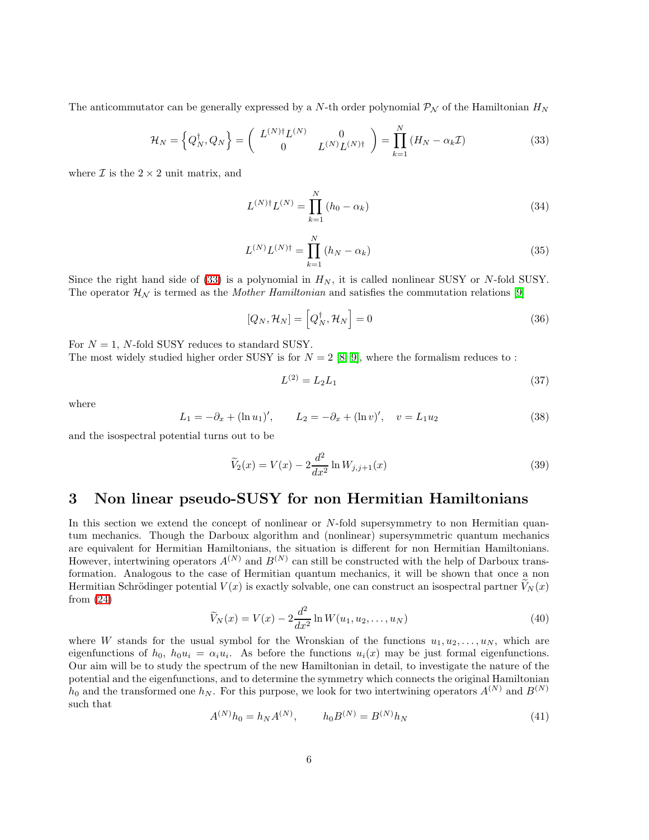<span id="page-5-0"></span>The anticommutator can be generally expressed by a N-th order polynomial  $\mathcal{P}_{N}$  of the Hamiltonian  $H_{N}$ 

$$
\mathcal{H}_N = \left\{ Q_N^{\dagger}, Q_N \right\} = \begin{pmatrix} L^{(N)\dagger} L^{(N)} & 0\\ 0 & L^{(N)} L^{(N)\dagger} \end{pmatrix} = \prod_{k=1}^N \left( H_N - \alpha_k \mathcal{I} \right) \tag{33}
$$

where  $\mathcal I$  is the  $2 \times 2$  unit matrix, and

$$
L^{(N) \dagger} L^{(N)} = \prod_{k=1}^{N} (h_0 - \alpha_k)
$$
\n(34)

$$
L^{(N)}L^{(N)\dagger} = \prod_{k=1}^{N} (h_N - \alpha_k)
$$
\n(35)

Since the right hand side of [\(33\)](#page-5-0) is a polynomial in  $H_N$ , it is called nonlinear SUSY or N-fold SUSY. The operator  $\mathcal{H}_{\mathcal{N}}$  is termed as the *Mother Hamiltonian* and satisfies the commutation relations [\[9\]](#page-16-8)

$$
[Q_N, \mathcal{H}_N] = [Q_N^{\dagger}, \mathcal{H}_N] = 0 \tag{36}
$$

For  $N = 1$ , N-fold SUSY reduces to standard SUSY. The most widely studied higher order SUSY is for  $N = 2$  [\[8,](#page-16-7) [9\]](#page-16-8), where the formalism reduces to :

$$
L^{(2)} = L_2 L_1 \tag{37}
$$

where

$$
L_1 = -\partial_x + (\ln u_1)', \qquad L_2 = -\partial_x + (\ln v)', \quad v = L_1 u_2 \tag{38}
$$

and the isospectral potential turns out to be

$$
\widetilde{V}_2(x) = V(x) - 2\frac{d^2}{dx^2} \ln W_{j,j+1}(x)
$$
\n(39)

## 3 Non linear pseudo-SUSY for non Hermitian Hamiltonians

In this section we extend the concept of nonlinear or N-fold supersymmetry to non Hermitian quantum mechanics. Though the Darboux algorithm and (nonlinear) supersymmetric quantum mechanics are equivalent for Hermitian Hamiltonians, the situation is different for non Hermitian Hamiltonians. However, intertwining operators  $A^{(N)}$  and  $B^{(N)}$  can still be constructed with the help of Darboux transformation. Analogous to the case of Hermitian quantum mechanics, it will be shown that once a non Hermitian Schrödinger potential  $V(x)$  is exactly solvable, one can construct an isospectral partner  $V_N(x)$ from [\(24\)](#page-4-0)

$$
\widetilde{V}_N(x) = V(x) - 2\frac{d^2}{dx^2} \ln W(u_1, u_2, \dots, u_N)
$$
\n(40)

<span id="page-5-2"></span>where W stands for the usual symbol for the Wronskian of the functions  $u_1, u_2, \ldots, u_N$ , which are eigenfunctions of  $h_0$ ,  $h_0u_i = \alpha_i u_i$ . As before the functions  $u_i(x)$  may be just formal eigenfunctions. Our aim will be to study the spectrum of the new Hamiltonian in detail, to investigate the nature of the potential and the eigenfunctions, and to determine the symmetry which connects the original Hamiltonian  $h_0$  and the transformed one  $h_N$ . For this purpose, we look for two intertwining operators  $A^{(N)}$  and  $B^{(N)}$ such that

<span id="page-5-1"></span>
$$
A^{(N)}h_0 = h_N A^{(N)}, \qquad h_0 B^{(N)} = B^{(N)}h_N \tag{41}
$$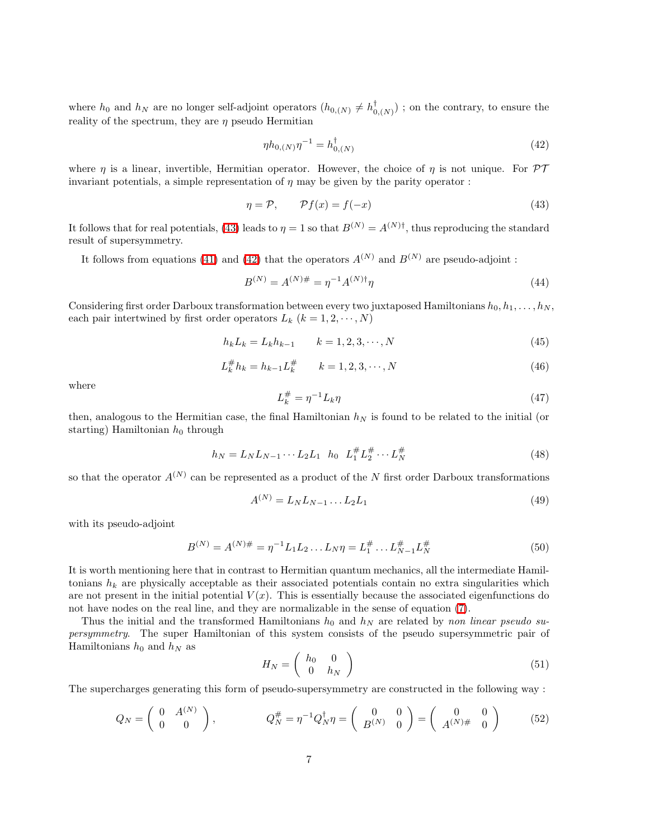where  $h_0$  and  $h_N$  are no longer self-adjoint operators  $(h_{0,(N)} \neq h_0^{\dagger})$  $\binom{1}{0,(N)}$  ; on the contrary, to ensure the reality of the spectrum, they are  $\eta$  pseudo Hermitian

<span id="page-6-1"></span>
$$
\eta h_{0,(N)} \eta^{-1} = h_{0,(N)}^{\dagger} \tag{42}
$$

where  $\eta$  is a linear, invertible, Hermitian operator. However, the choice of  $\eta$  is not unique. For  $\mathcal{PT}$ invariant potentials, a simple representation of  $\eta$  may be given by the parity operator :

<span id="page-6-0"></span>
$$
\eta = \mathcal{P}, \qquad \mathcal{P}f(x) = f(-x) \tag{43}
$$

It follows that for real potentials, [\(43\)](#page-6-0) leads to  $\eta = 1$  so that  $B^{(N)} = A^{(N)\dagger}$ , thus reproducing the standard result of supersymmetry.

It follows from equations [\(41\)](#page-5-1) and [\(42\)](#page-6-1) that the operators  $A^{(N)}$  and  $B^{(N)}$  are pseudo-adjoint :

$$
B^{(N)} = A^{(N)\#} = \eta^{-1} A^{(N)\dagger} \eta \tag{44}
$$

Considering first order Darboux transformation between every two juxtaposed Hamiltonians  $h_0, h_1, \ldots, h_N$ , each pair intertwined by first order operators  $L_k$   $(k = 1, 2, \dots, N)$ 

$$
h_k L_k = L_k h_{k-1} \qquad k = 1, 2, 3, \cdots, N
$$
\n(45)

$$
L_k^{\#} h_k = h_{k-1} L_k^{\#} \qquad k = 1, 2, 3, \cdots, N \tag{46}
$$

where

$$
L_k^{\#} = \eta^{-1} L_k \eta \tag{47}
$$

then, analogous to the Hermitian case, the final Hamiltonian  $h_N$  is found to be related to the initial (or starting) Hamiltonian  $h_0$  through

$$
h_N = L_N L_{N-1} \cdots L_2 L_1 \quad h_0 \quad L_1^{\#} L_2^{\#} \cdots L_N^{\#} \tag{48}
$$

so that the operator  $A^{(N)}$  can be represented as a product of the N first order Darboux transformations

$$
A^{(N)} = L_N L_{N-1} \dots L_2 L_1 \tag{49}
$$

with its pseudo-adjoint

$$
B^{(N)} = A^{(N)\#} = \eta^{-1} L_1 L_2 \dots L_N \eta = L_1^{\#} \dots L_{N-1}^{\#} L_N^{\#}
$$
\n
$$
(50)
$$

It is worth mentioning here that in contrast to Hermitian quantum mechanics, all the intermediate Hamiltonians  $h_k$  are physically acceptable as their associated potentials contain no extra singularities which are not present in the initial potential  $V(x)$ . This is essentially because the associated eigenfunctions do not have nodes on the real line, and they are normalizable in the sense of equation [\(7\)](#page-2-0).

Thus the initial and the transformed Hamiltonians  $h_0$  and  $h_N$  are related by non linear pseudo supersymmetry. The super Hamiltonian of this system consists of the pseudo supersymmetric pair of Hamiltonians  $h_0$  and  $h_N$  as

<span id="page-6-2"></span>
$$
H_N = \left(\begin{array}{cc} h_0 & 0\\ 0 & h_N \end{array}\right) \tag{51}
$$

The supercharges generating this form of pseudo-supersymmetry are constructed in the following way :

$$
Q_N = \left(\begin{array}{cc} 0 & A^{(N)} \\ 0 & 0 \end{array}\right), \qquad Q_N^{\#} = \eta^{-1} Q_N^{\dagger} \eta = \left(\begin{array}{cc} 0 & 0 \\ B^{(N)} & 0 \end{array}\right) = \left(\begin{array}{cc} 0 & 0 \\ A^{(N)\#} & 0 \end{array}\right) \tag{52}
$$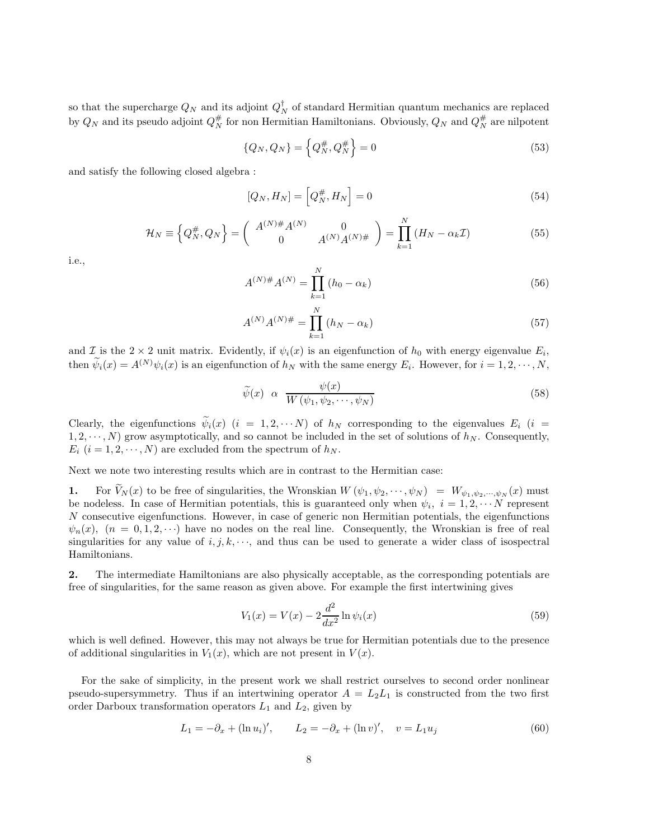so that the supercharge  $Q_N$  and its adjoint  $Q_N^{\dagger}$  of standard Hermitian quantum mechanics are replaced by  $Q_N$  and its pseudo adjoint  $Q_N^{\#}$  for non Hermitian Hamiltonians. Obviously,  $Q_N$  and  $Q_N^{\#}$  are nilpotent

$$
\{Q_N, Q_N\} = \left\{Q_N^{\#}, Q_N^{\#}\right\} = 0\tag{53}
$$

and satisfy the following closed algebra :

$$
[Q_N, H_N] = \left[Q_N^{\#}, H_N\right] = 0\tag{54}
$$

$$
\mathcal{H}_N \equiv \left\{ Q_N^{\#}, Q_N \right\} = \begin{pmatrix} A^{(N)\#} A^{(N)} & 0 \\ 0 & A^{(N)} A^{(N)\#} \end{pmatrix} = \prod_{k=1}^N (H_N - \alpha_k \mathcal{I})
$$
(55)

i.e.,

$$
A^{(N)\#}A^{(N)} = \prod_{k=1}^{N} (h_0 - \alpha_k)
$$
\n(56)

$$
A^{(N)}A^{(N)\#} = \prod_{k=1}^{N} (h_N - \alpha_k)
$$
\n(57)

and I is the  $2 \times 2$  unit matrix. Evidently, if  $\psi_i(x)$  is an eigenfunction of  $h_0$  with energy eigenvalue  $E_i$ , then  $\psi_i(x) = A^{(N)} \psi_i(x)$  is an eigenfunction of  $h_N$  with the same energy  $E_i$ . However, for  $i = 1, 2, \dots, N$ ,

$$
\widetilde{\psi}(x) \quad \alpha \quad \frac{\psi(x)}{W(\psi_1, \psi_2, \cdots, \psi_N)}\tag{58}
$$

Clearly, the eigenfunctions  $\widetilde{\psi}_i(x)$   $(i = 1, 2, \cdots N)$  of  $h_N$  corresponding to the eigenvalues  $E_i$   $(i =$  $1, 2, \dots, N$  grow asymptotically, and so cannot be included in the set of solutions of  $h_N$ . Consequently,  $E_i$   $(i = 1, 2, \dots, N)$  are excluded from the spectrum of  $h_N$ .

Next we note two interesting results which are in contrast to the Hermitian case:

1. For  $\widetilde{V}_N(x)$  to be free of singularities, the Wronskian  $W(\psi_1, \psi_2, \dots, \psi_N) = W_{\psi_1, \psi_2, \dots, \psi_N}(x)$  must be nodeless. In case of Hermitian potentials, this is guaranteed only when  $\psi_i$ ,  $i = 1, 2, \cdots N$  represent N consecutive eigenfunctions. However, in case of generic non Hermitian potentials, the eigenfunctions  $\psi_n(x)$ ,  $(n = 0, 1, 2, \dots)$  have no nodes on the real line. Consequently, the Wronskian is free of real singularities for any value of  $i, j, k, \dots$ , and thus can be used to generate a wider class of isospectral Hamiltonians.

2. The intermediate Hamiltonians are also physically acceptable, as the corresponding potentials are free of singularities, for the same reason as given above. For example the first intertwining gives

$$
V_1(x) = V(x) - 2\frac{d^2}{dx^2} \ln \psi_i(x)
$$
\n(59)

which is well defined. However, this may not always be true for Hermitian potentials due to the presence of additional singularities in  $V_1(x)$ , which are not present in  $V(x)$ .

For the sake of simplicity, in the present work we shall restrict ourselves to second order nonlinear pseudo-supersymmetry. Thus if an intertwining operator  $A = L_2L_1$  is constructed from the two first order Darboux transformation operators  $L_1$  and  $L_2$ , given by

$$
L_1 = -\partial_x + (\ln u_i)', \qquad L_2 = -\partial_x + (\ln v)', \quad v = L_1 u_j \tag{60}
$$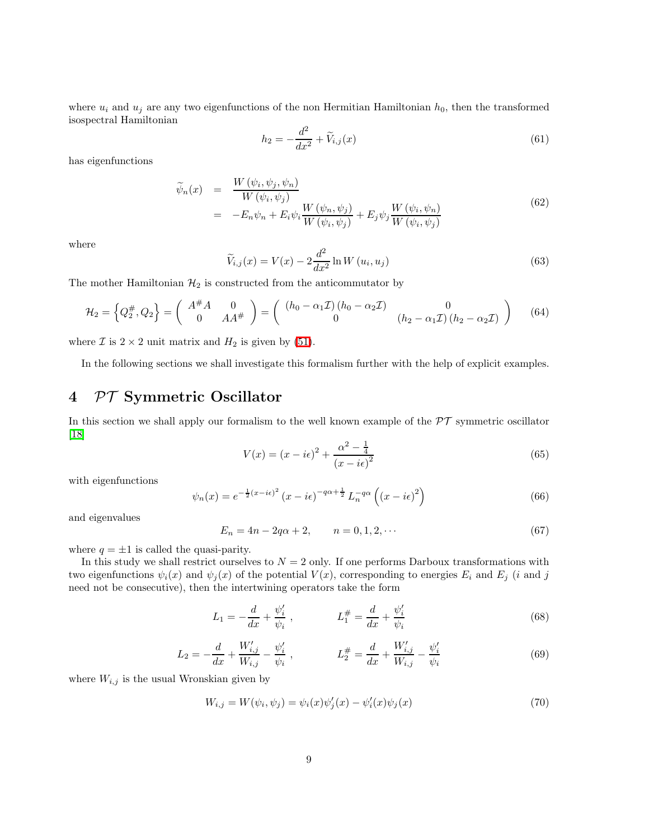where  $u_i$  and  $u_j$  are any two eigenfunctions of the non Hermitian Hamiltonian  $h_0$ , then the transformed isospectral Hamiltonian

$$
h_2 = -\frac{d^2}{dx^2} + \tilde{V}_{i,j}(x)
$$
\n(61)

<span id="page-8-1"></span>has eigenfunctions

$$
\widetilde{\psi}_n(x) = \frac{W(\psi_i, \psi_j, \psi_n)}{W(\psi_i, \psi_j)}
$$
\n
$$
= -E_n \psi_n + E_i \psi_i \frac{W(\psi_n, \psi_j)}{W(\psi_i, \psi_j)} + E_j \psi_j \frac{W(\psi_i, \psi_n)}{W(\psi_i, \psi_j)} \tag{62}
$$

where

$$
\widetilde{V}_{i,j}(x) = V(x) - 2\frac{d^2}{dx^2} \ln W(u_i, u_j)
$$
\n(63)

The mother Hamiltonian  $\mathcal{H}_2$  is constructed from the anticommutator by

$$
\mathcal{H}_2 = \left\{ Q_2^{\#}, Q_2 \right\} = \left( \begin{array}{cc} A^{\#}A & 0 \\ 0 & AA^{\#} \end{array} \right) = \left( \begin{array}{cc} (h_0 - \alpha_1 \mathcal{I}) (h_0 - \alpha_2 \mathcal{I}) & 0 \\ 0 & (h_2 - \alpha_1 \mathcal{I}) (h_2 - \alpha_2 \mathcal{I}) \end{array} \right) \tag{64}
$$

where  $\mathcal I$  is  $2 \times 2$  unit matrix and  $H_2$  is given by [\(51\)](#page-6-2).

In the following sections we shall investigate this formalism further with the help of explicit examples.

## 4 PT Symmetric Oscillator

In this section we shall apply our formalism to the well known example of the  $\mathcal{PT}$  symmetric oscillator [\[18\]](#page-17-4)

$$
V(x) = (x - i\epsilon)^2 + \frac{\alpha^2 - \frac{1}{4}}{(x - i\epsilon)^2}
$$
\n(65)

with eigenfunctions

<span id="page-8-0"></span>
$$
\psi_n(x) = e^{-\frac{1}{2}(x-i\epsilon)^2} \left( x - i\epsilon \right)^{-q\alpha + \frac{1}{2}} L_n^{-q\alpha} \left( \left( x - i\epsilon \right)^2 \right) \tag{66}
$$

and eigenvalues

$$
E_n = 4n - 2q\alpha + 2, \qquad n = 0, 1, 2, \cdots \tag{67}
$$

where  $q = \pm 1$  is called the quasi-parity.

In this study we shall restrict ourselves to  $N = 2$  only. If one performs Darboux transformations with two eigenfunctions  $\psi_i(x)$  and  $\psi_j(x)$  of the potential  $V(x)$ , corresponding to energies  $E_i$  and  $E_j$  (i and j need not be consecutive), then the intertwining operators take the form

$$
L_1 = -\frac{d}{dx} + \frac{\psi_i'}{\psi_i} , \qquad L_1^{\#} = \frac{d}{dx} + \frac{\psi_i'}{\psi_i} \tag{68}
$$

$$
L_2 = -\frac{d}{dx} + \frac{W'_{i,j}}{W_{i,j}} - \frac{\psi'_i}{\psi_i} , \qquad L_2^{\#} = \frac{d}{dx} + \frac{W'_{i,j}}{W_{i,j}} - \frac{\psi'_i}{\psi_i}
$$
(69)

where  $W_{i,j}$  is the usual Wronskian given by

$$
W_{i,j} = W(\psi_i, \psi_j) = \psi_i(x)\psi'_j(x) - \psi'_i(x)\psi_j(x)
$$
\n(70)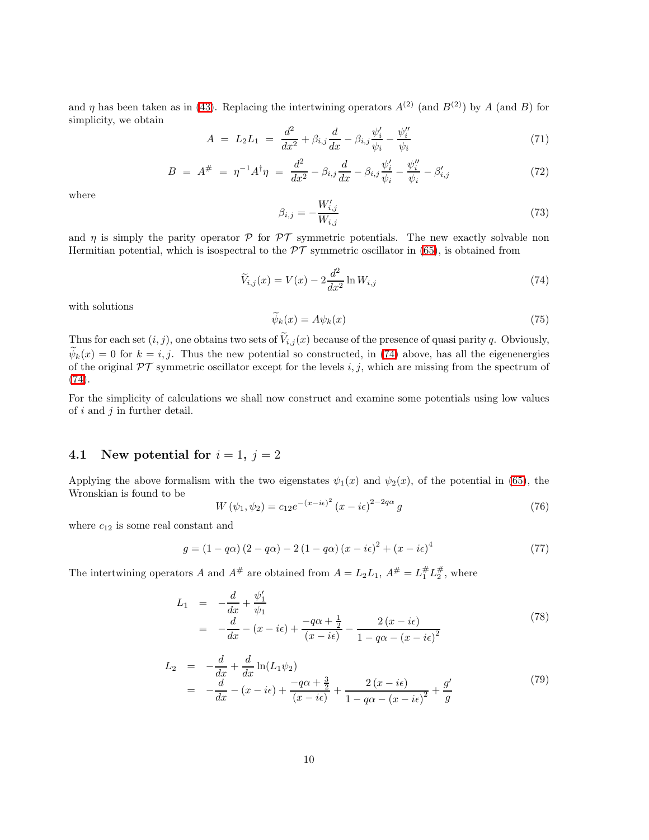and  $\eta$  has been taken as in [\(43\)](#page-6-0). Replacing the intertwining operators  $A^{(2)}$  (and  $B^{(2)}$ ) by A (and B) for simplicity, we obtain

$$
A = L_2 L_1 = \frac{d^2}{dx^2} + \beta_{i,j} \frac{d}{dx} - \beta_{i,j} \frac{\psi_i'}{\psi_i} - \frac{\psi_i''}{\psi_i}
$$
(71)

$$
B = A^{\#} = \eta^{-1} A^{\dagger} \eta = \frac{d^2}{dx^2} - \beta_{i,j} \frac{d}{dx} - \beta_{i,j} \frac{\psi_i'}{\psi_i} - \frac{\psi_i''}{\psi_i} - \beta_{i,j}' \tag{72}
$$

where

$$
\beta_{i,j} = -\frac{W'_{i,j}}{W_{i,j}}\tag{73}
$$

and  $\eta$  is simply the parity operator  $\mathcal P$  for  $\mathcal P\mathcal T$  symmetric potentials. The new exactly solvable non Hermitian potential, which is isospectral to the  $\mathcal{PT}$  symmetric oscillator in [\(65\)](#page-8-0), is obtained from

<span id="page-9-0"></span>
$$
\widetilde{V}_{i,j}(x) = V(x) - 2\frac{d^2}{dx^2} \ln W_{i,j}
$$
\n(74)

with solutions

$$
\widetilde{\psi}_k(x) = A \psi_k(x) \tag{75}
$$

Thus for each set  $(i, j)$ , one obtains two sets of  $\tilde{V}_{i,j}(x)$  because of the presence of quasi parity q. Obviously,  $\widetilde{\psi}_k(x) = 0$  for  $k = i, j$ . Thus the new potential so constructed, in [\(74\)](#page-9-0) above, has all the eigenenergies of the original  $\mathcal{PT}$  symmetric oscillator except for the levels i, j, which are missing from the spectrum of [\(74\)](#page-9-0).

For the simplicity of calculations we shall now construct and examine some potentials using low values of  $i$  and  $j$  in further detail.

#### 4.1 New potential for  $i = 1, j = 2$

Applying the above formalism with the two eigenstates  $\psi_1(x)$  and  $\psi_2(x)$ , of the potential in [\(65\)](#page-8-0), the Wronskian is found to be

$$
W(\psi_1, \psi_2) = c_{12} e^{-(x - i\epsilon)^2} (x - i\epsilon)^{2 - 2q\alpha} g
$$
\n(76)

where  $c_{12}$  is some real constant and

$$
g = (1 - q\alpha) (2 - q\alpha) - 2 (1 - q\alpha) (x - i\epsilon)^{2} + (x - i\epsilon)^{4}
$$
\n
$$
(77)
$$

The intertwining operators A and  $A^{\#}$  are obtained from  $A = L_2L_1$ ,  $A^{\#} = L_1^{\#}L_2^{\#}$ , where

$$
L_1 = -\frac{d}{dx} + \frac{\psi'_1}{\psi_1} = -\frac{d}{dx} - (x - i\epsilon) + \frac{-q\alpha + \frac{1}{2}}{(x - i\epsilon)} - \frac{2(x - i\epsilon)}{1 - q\alpha - (x - i\epsilon)^2}
$$
(78)

$$
L_2 = -\frac{d}{dx} + \frac{d}{dx}\ln(L_1\psi_2)
$$
  
= 
$$
-\frac{d}{dx} - (x - i\epsilon) + \frac{-q\alpha + \frac{3}{2}}{(x - i\epsilon)} + \frac{2(x - i\epsilon)}{1 - q\alpha - (x - i\epsilon)^2} + \frac{g'}{g}
$$
(79)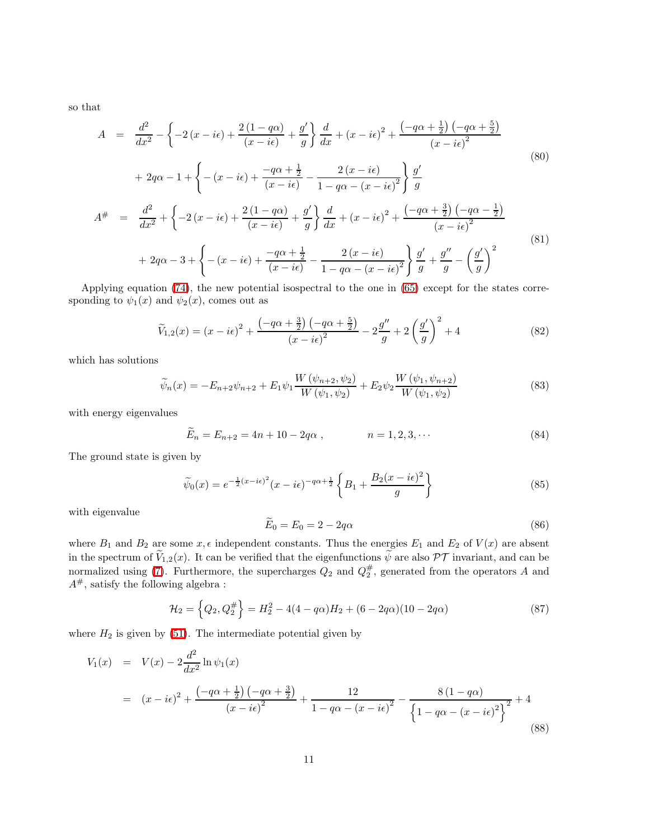so that

$$
A = \frac{d^2}{dx^2} - \left\{-2(x - i\epsilon) + \frac{2(1 - q\alpha)}{(x - i\epsilon)} + \frac{g'}{g}\right\} \frac{d}{dx} + (x - i\epsilon)^2 + \frac{(-q\alpha + \frac{1}{2})(-q\alpha + \frac{5}{2})}{(x - i\epsilon)^2}
$$
\n
$$
+ 2q\alpha - 1 + \left\{- (x - i\epsilon) + \frac{-q\alpha + \frac{1}{2}}{(x - i\epsilon)} - \frac{2(x - i\epsilon)}{1 - q\alpha - (x - i\epsilon)^2}\right\} \frac{g'}{g}
$$
\n
$$
A^{\#} = \frac{d^2}{dx^2} + \left\{-2(x - i\epsilon) + \frac{2(1 - q\alpha)}{(x - i\epsilon)} + \frac{g'}{g}\right\} \frac{d}{dx} + (x - i\epsilon)^2 + \frac{(-q\alpha + \frac{3}{2})(-q\alpha - \frac{1}{2})}{(x - i\epsilon)^2}
$$
\n
$$
+ 2q\alpha - 3 + \left\{- (x - i\epsilon) + \frac{-q\alpha + \frac{1}{2}}{(x - i\epsilon)} - \frac{2(x - i\epsilon)}{1 - q\alpha - (x - i\epsilon)^2}\right\} \frac{g'}{g} + \frac{g''}{g} - \left(\frac{g'}{g}\right)^2
$$
\n
$$
(81)
$$

Applying equation [\(74\)](#page-9-0), the new potential isospectral to the one in [\(65\)](#page-8-0) except for the states corresponding to  $\psi_1(x)$  and  $\psi_2(x)$ , comes out as

$$
\widetilde{V}_{1,2}(x) = \left(x - i\epsilon\right)^2 + \frac{\left(-q\alpha + \frac{3}{2}\right)\left(-q\alpha + \frac{5}{2}\right)}{\left(x - i\epsilon\right)^2} - 2\frac{g''}{g} + 2\left(\frac{g'}{g}\right)^2 + 4\tag{82}
$$

which has solutions

$$
\widetilde{\psi}_n(x) = -E_{n+2}\psi_{n+2} + E_1\psi_1 \frac{W(\psi_{n+2}, \psi_2)}{W(\psi_1, \psi_2)} + E_2\psi_2 \frac{W(\psi_1, \psi_{n+2})}{W(\psi_1, \psi_2)}\tag{83}
$$

with energy eigenvalues

$$
\widetilde{E}_n = E_{n+2} = 4n + 10 - 2q\alpha , \qquad \qquad n = 1, 2, 3, \cdots \tag{84}
$$

The ground state is given by

$$
\widetilde{\psi}_0(x) = e^{-\frac{1}{2}(x-i\epsilon)^2}(x-i\epsilon)^{-q\alpha+\frac{1}{2}} \left\{ B_1 + \frac{B_2(x-i\epsilon)^2}{g} \right\}
$$
\n(85)

with eigenvalue

$$
\widetilde{E}_0 = E_0 = 2 - 2q\alpha \tag{86}
$$

where  $B_1$  and  $B_2$  are some  $x, \epsilon$  independent constants. Thus the energies  $E_1$  and  $E_2$  of  $V(x)$  are absent in the spectrum of  $V_{1,2}(x)$ . It can be verified that the eigenfunctions  $\psi$  are also  $\mathcal{PT}$  invariant, and can be normalized using [\(7\)](#page-2-0). Furthermore, the supercharges  $Q_2$  and  $Q_2^{\#}$ , generated from the operators A and  $A^{\#},$  satisfy the following algebra :

$$
\mathcal{H}_2 = \left\{ Q_2, Q_2^{\#} \right\} = H_2^2 - 4(4 - q\alpha)H_2 + (6 - 2q\alpha)(10 - 2q\alpha) \tag{87}
$$

where  $H_2$  is given by [\(51\)](#page-6-2). The intermediate potential given by

$$
V_1(x) = V(x) - 2\frac{d^2}{dx^2}\ln\psi_1(x)
$$
  
=  $(x - i\epsilon)^2 + \frac{(-q\alpha + \frac{1}{2})(-q\alpha + \frac{3}{2})}{(x - i\epsilon)^2} + \frac{12}{1 - q\alpha - (x - i\epsilon)^2} - \frac{8(1 - q\alpha)}{\left\{1 - q\alpha - (x - i\epsilon)^2\right\}^2} + 4$  (88)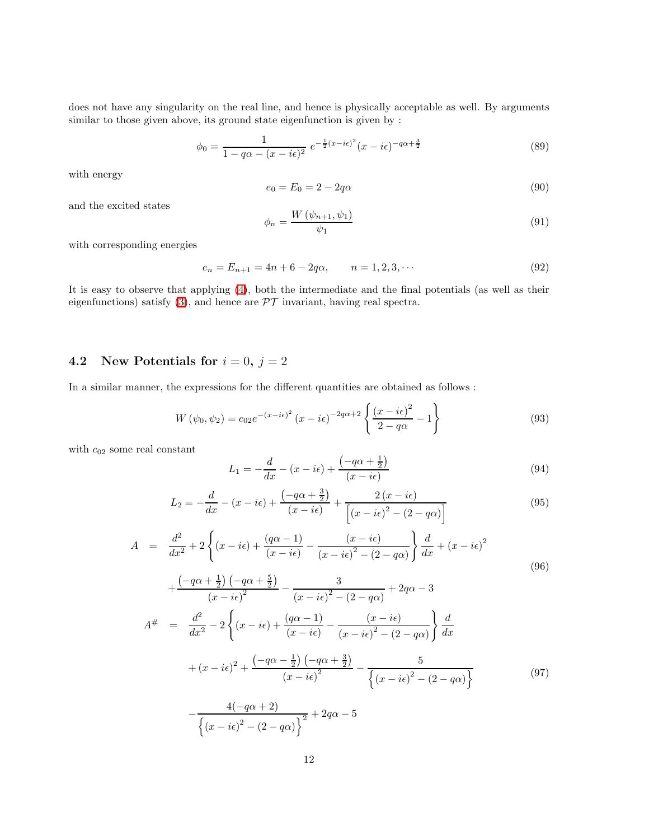does not have any singularity on the real line, and hence is physically acceptable as well. By arguments similar to those given above, its ground state eigenfunction is given by :

$$
\phi_0 = \frac{1}{1 - q\alpha - (x - i\epsilon)^2} e^{-\frac{1}{2}(x - i\epsilon)^2} (x - i\epsilon)^{-q\alpha + \frac{3}{2}}
$$
(89)

with energy

$$
e_0 = E_0 = 2 - 2q\alpha \tag{90}
$$

and the excited states

$$
\phi_n = \frac{W(\psi_{n+1}, \psi_1)}{\psi_1} \tag{91}
$$

with corresponding energies

$$
e_n = E_{n+1} = 4n + 6 - 2q\alpha, \qquad n = 1, 2, 3, \cdots \tag{92}
$$

It is easy to observe that applying [\(4\)](#page-1-0), both the intermediate and the final potentials (as well as their eigenfunctions) satisfy [\(3\)](#page-1-1), and hence are  $\mathcal{PT}$  invariant, having real spectra.

## 4.2 New Potentials for  $i = 0, j = 2$

In a similar manner, the expressions for the different quantities are obtained as follows :

$$
W(\psi_0, \psi_2) = c_{02}e^{-(x-i\epsilon)^2} (x-i\epsilon)^{-2q\alpha+2} \left\{ \frac{(x-i\epsilon)^2}{2-q\alpha} - 1 \right\}
$$
 (93)

with  $c_{02}$  some real constant

$$
L_1 = -\frac{d}{dx} - (x - i\epsilon) + \frac{(-q\alpha + \frac{1}{2})}{(x - i\epsilon)}\tag{94}
$$

$$
L_2 = -\frac{d}{dx} - (x - i\epsilon) + \frac{\left(-q\alpha + \frac{3}{2}\right)}{\left(x - i\epsilon\right)} + \frac{2\left(x - i\epsilon\right)}{\left[\left(x - i\epsilon\right)^2 - \left(2 - q\alpha\right)\right]}
$$
(95)

$$
A = \frac{d^2}{dx^2} + 2\left\{ (x - i\epsilon) + \frac{(q\alpha - 1)}{(x - i\epsilon)} - \frac{(x - i\epsilon)}{(x - i\epsilon)^2 - (2 - q\alpha)} \right\} \frac{d}{dx} + (x - i\epsilon)^2
$$
\n
$$
(96)
$$

$$
+\frac{\left(-q\alpha + \frac{1}{2}\right)\left(-q\alpha + \frac{5}{2}\right)}{(x - i\epsilon)^2} - \frac{3}{(x - i\epsilon)^2 - (2 - q\alpha)} + 2q\alpha - 3
$$
\n
$$
A^{\#} = \frac{d^2}{dx^2} - 2\left\{(x - i\epsilon) + \frac{(q\alpha - 1)}{(x - i\epsilon)} - \frac{(x - i\epsilon)}{(x - i\epsilon)^2 - (2 - q\alpha)}\right\}\frac{d}{dx}
$$
\n
$$
+(x - i\epsilon)^2 + \frac{\left(-q\alpha - \frac{1}{2}\right)\left(-q\alpha + \frac{3}{2}\right)}{(x - i\epsilon)^2} - \frac{5}{\left\{(x - i\epsilon)^2 - (2 - q\alpha)\right\}}
$$
\n
$$
-\frac{4(-q\alpha + 2)}{(x - i\alpha)^2} + 2q\alpha - 5\tag{97}
$$

$$
\frac{4(-q\alpha+2)}{\{(x-i\epsilon)^2-(2-q\alpha)\}}^2+2q\alpha-5
$$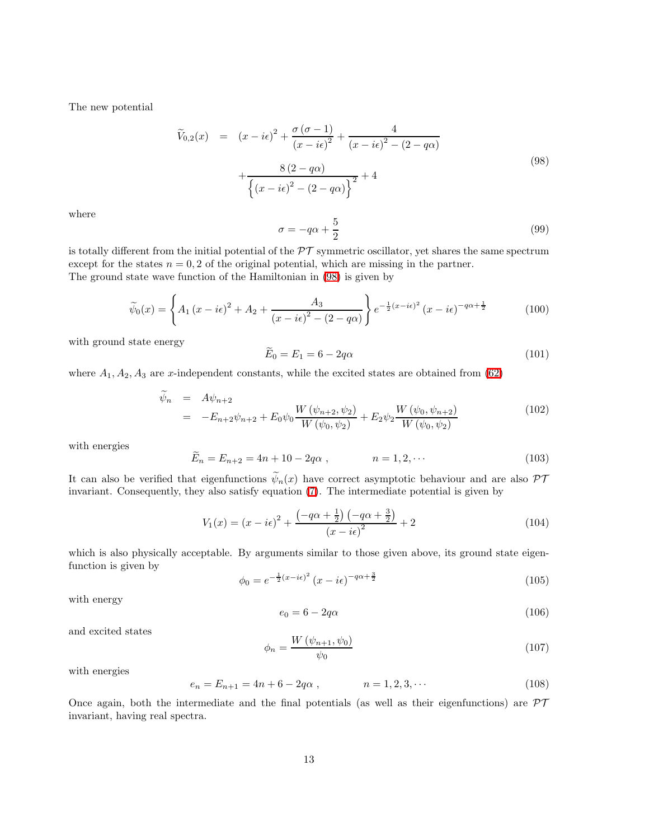<span id="page-12-0"></span>The new potential

$$
\widetilde{V}_{0,2}(x) = (x - i\epsilon)^2 + \frac{\sigma(\sigma - 1)}{(x - i\epsilon)^2} + \frac{4}{(x - i\epsilon)^2 - (2 - q\alpha)}
$$
\n
$$
+ \frac{8(2 - q\alpha)}{\left\{ (x - i\epsilon)^2 - (2 - q\alpha) \right\}^2} + 4
$$
\n(98)

where

$$
\sigma = -q\alpha + \frac{5}{2} \tag{99}
$$

is totally different from the initial potential of the  $\mathcal{PT}$  symmetric oscillator, yet shares the same spectrum except for the states  $n = 0, 2$  of the original potential, which are missing in the partner. The ground state wave function of the Hamiltonian in [\(98\)](#page-12-0) is given by

$$
\widetilde{\psi}_0(x) = \left\{ A_1 \left( x - i\epsilon \right)^2 + A_2 + \frac{A_3}{\left( x - i\epsilon \right)^2 - \left( 2 - q\alpha \right)} \right\} e^{-\frac{1}{2}\left( x - i\epsilon \right)^2} \left( x - i\epsilon \right)^{-q\alpha + \frac{1}{2}} \tag{100}
$$

with ground state energy

$$
\widetilde{E}_0 = E_1 = 6 - 2q\alpha \tag{101}
$$

where  $A_1, A_2, A_3$  are x-independent constants, while the excited states are obtained from [\(62\)](#page-8-1)

$$
\tilde{\psi}_n = A\psi_{n+2}
$$
\n
$$
= -E_{n+2}\psi_{n+2} + E_0\psi_0 \frac{W(\psi_{n+2}, \psi_2)}{W(\psi_0, \psi_2)} + E_2\psi_2 \frac{W(\psi_0, \psi_{n+2})}{W(\psi_0, \psi_2)} \tag{102}
$$

with energies

$$
\widetilde{E}_n = E_{n+2} = 4n + 10 - 2q\alpha , \qquad n = 1, 2, \cdots \qquad (103)
$$

It can also be verified that eigenfunctions  $\widetilde{\psi}_n(x)$  have correct asymptotic behaviour and are also  $\mathcal{PT}$ invariant. Consequently, they also satisfy equation [\(7\)](#page-2-0). The intermediate potential is given by

$$
V_1(x) = (x - i\epsilon)^2 + \frac{\left(-q\alpha + \frac{1}{2}\right)\left(-q\alpha + \frac{3}{2}\right)}{(x - i\epsilon)^2} + 2\tag{104}
$$

which is also physically acceptable. By arguments similar to those given above, its ground state eigenfunction is given by

$$
\phi_0 = e^{-\frac{1}{2}(x - i\epsilon)^2} (x - i\epsilon)^{-q\alpha + \frac{3}{2}}
$$
\n(105)

with energy

$$
e_0 = 6 - 2q\alpha \tag{106}
$$

and excited states

$$
\phi_n = \frac{W(\psi_{n+1}, \psi_0)}{\psi_0} \tag{107}
$$

with energies

$$
e_n = E_{n+1} = 4n + 6 - 2q\alpha , \qquad n = 1, 2, 3, \cdots
$$
 (108)

Once again, both the intermediate and the final potentials (as well as their eigenfunctions) are  $\mathcal{PT}$ invariant, having real spectra.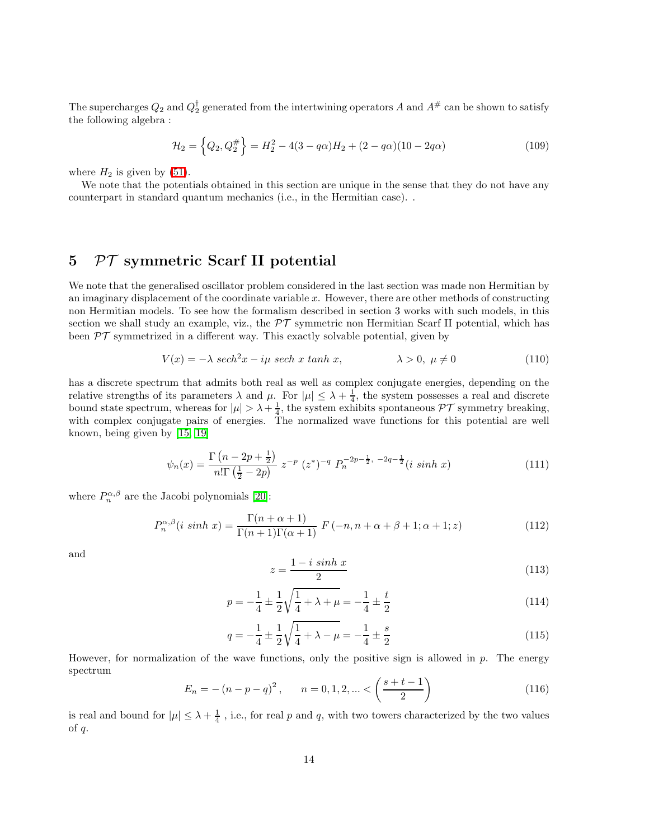The supercharges  $Q_2$  and  $Q_2^{\dagger}$  generated from the intertwining operators A and  $A^{\#}$  can be shown to satisfy the following algebra :

$$
\mathcal{H}_2 = \left\{ Q_2, Q_2^{\#} \right\} = H_2^2 - 4(3 - q\alpha)H_2 + (2 - q\alpha)(10 - 2q\alpha) \tag{109}
$$

where  $H_2$  is given by [\(51\)](#page-6-2).

We note that the potentials obtained in this section are unique in the sense that they do not have any counterpart in standard quantum mechanics (i.e., in the Hermitian case). .

## 5  $\mathcal{PT}$  symmetric Scarf II potential

We note that the generalised oscillator problem considered in the last section was made non Hermitian by an imaginary displacement of the coordinate variable  $x$ . However, there are other methods of constructing non Hermitian models. To see how the formalism described in section 3 works with such models, in this section we shall study an example, viz., the  $\mathcal{PT}$  symmetric non Hermitian Scarf II potential, which has been  $\mathcal{PT}$  symmetrized in a different way. This exactly solvable potential, given by

$$
V(x) = -\lambda \ sech^2 x - i\mu \ sech \ x \ tanh \ x, \qquad \lambda > 0, \ \mu \neq 0 \tag{110}
$$

has a discrete spectrum that admits both real as well as complex conjugate energies, depending on the relative strengths of its parameters  $\lambda$  and  $\mu$ . For  $|\mu| \leq \lambda + \frac{1}{4}$ , the system possesses a real and discrete bound state spectrum, whereas for  $|\mu| > \lambda + \frac{1}{4}$ , the system exhibits spontaneous  $\mathcal{PT}$  symmetry breaking, with complex conjugate pairs of energies. The normalized wave functions for this potential are well known, being given by [\[15,](#page-17-1) [19\]](#page-17-5)

$$
\psi_n(x) = \frac{\Gamma\left(n - 2p + \frac{1}{2}\right)}{n!\Gamma\left(\frac{1}{2} - 2p\right)} z^{-p} \left(z^*\right)^{-q} P_n^{-2p - \frac{1}{2}, -2q - \frac{1}{2}}(i \sinh x) \tag{111}
$$

where  $P_n^{\alpha,\beta}$  are the Jacobi polynomials [\[20\]](#page-17-6):

$$
P_n^{\alpha,\beta}(i\,\sinh\,x) = \frac{\Gamma(n+\alpha+1)}{\Gamma(n+1)\Gamma(\alpha+1)}\,F\left(-n,n+\alpha+\beta+1;\alpha+1;z\right) \tag{112}
$$

and

$$
z = \frac{1 - i\sinh x}{2} \tag{113}
$$

$$
p = -\frac{1}{4} \pm \frac{1}{2} \sqrt{\frac{1}{4} + \lambda + \mu} = -\frac{1}{4} \pm \frac{t}{2}
$$
 (114)

$$
q = -\frac{1}{4} \pm \frac{1}{2} \sqrt{\frac{1}{4} + \lambda - \mu} = -\frac{1}{4} \pm \frac{s}{2}
$$
 (115)

However, for normalization of the wave functions, only the positive sign is allowed in  $p$ . The energy spectrum

$$
E_n = -(n - p - q)^2, \qquad n = 0, 1, 2, \dots < \left(\frac{s + t - 1}{2}\right) \tag{116}
$$

is real and bound for  $|\mu| \leq \lambda + \frac{1}{4}$ , i.e., for real p and q, with two towers characterized by the two values of  $q$ .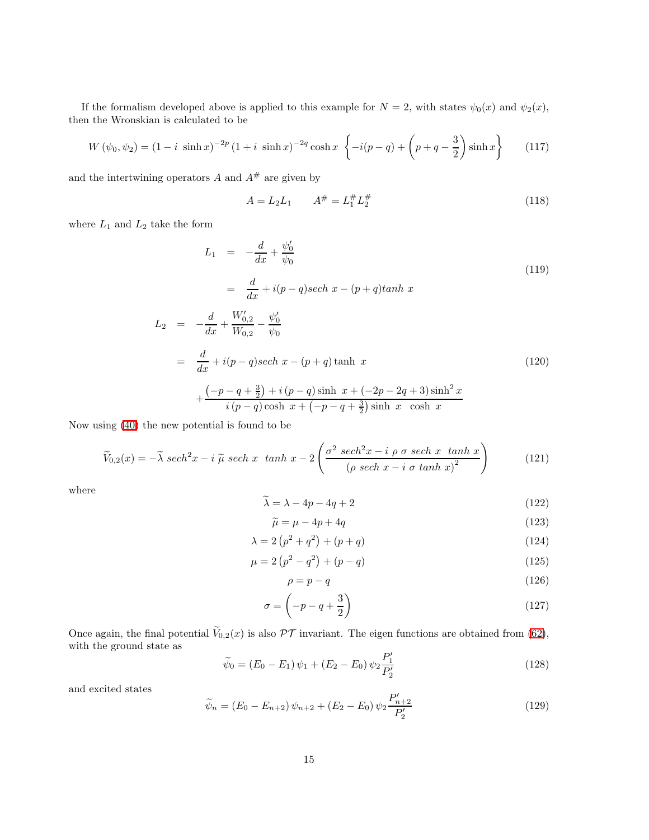If the formalism developed above is applied to this example for  $N = 2$ , with states  $\psi_0(x)$  and  $\psi_2(x)$ , then the Wronskian is calculated to be

$$
W(\psi_0, \psi_2) = (1 - i \sinh x)^{-2p} (1 + i \sinh x)^{-2q} \cosh x \left\{ -i(p - q) + \left(p + q - \frac{3}{2}\right) \sinh x \right\}
$$
 (117)

and the intertwining operators  $A$  and  $A^{\#}$  are given by

$$
A = L_2 L_1 \qquad A^\# = L_1^\# L_2^\# \tag{118}
$$

where  ${\cal L}_1$  and  ${\cal L}_2$  take the form

 $L_2$ 

$$
L_1 = -\frac{d}{dx} + \frac{\psi_0'}{\psi_0}
$$
\n
$$
= \frac{d}{dx} + i(p-q)sech \ x - (p+q)tanh \ x
$$
\n
$$
= -\frac{d}{dx} + \frac{W_{0,2}'}{W_{0,2}} - \frac{\psi_0'}{\psi_0}
$$
\n
$$
= \frac{d}{dx} + i(p-q)sech \ x - (p+q) \tanh \ x
$$
\n
$$
+ \frac{(-p-q+\frac{3}{2})+i(p-q)\sinh \ x + (-2p-2q+3)\sinh^2 x}{i(p-q)\cosh \ x + (-p-q+\frac{3}{2})\sinh \ x \cosh \ x}
$$
\n(120)

Now using [\(40\)](#page-5-2) the new potential is found to be

$$
\widetilde{V}_{0,2}(x) = -\widetilde{\lambda} \ sech^2 x - i \widetilde{\mu} \ sech \ x \ \tanh x - 2 \left( \frac{\sigma^2 \ sech^2 x - i \ \rho \ \sigma \ sech \ x \ \tanh x}{\left( \rho \ sech \ x - i \ \sigma \ \tanh x \right)^2} \right) \tag{121}
$$

where

$$
\tilde{\lambda} = \lambda - 4p - 4q + 2\tag{122}
$$

$$
\widetilde{\mu} = \mu - 4p + 4q \tag{123}
$$

$$
\lambda = 2\left(p^2 + q^2\right) + (p+q) \tag{124}
$$

$$
\mu = 2\left(p^2 - q^2\right) + (p - q) \tag{125}
$$

$$
\rho = p - q \tag{126}
$$

$$
\sigma = \left(-p - q + \frac{3}{2}\right) \tag{127}
$$

Once again, the final potential  $\tilde{V}_{0,2}(x)$  is also  $\mathcal{PT}$  invariant. The eigen functions are obtained from [\(62\)](#page-8-1), with the ground state as

$$
\widetilde{\psi}_0 = (E_0 - E_1) \psi_1 + (E_2 - E_0) \psi_2 \frac{P'_1}{P'_2}
$$
\n(128)

and excited states

$$
\widetilde{\psi}_n = (E_0 - E_{n+2})\psi_{n+2} + (E_2 - E_0)\psi_2 \frac{P'_{n+2}}{P'_2}
$$
\n(129)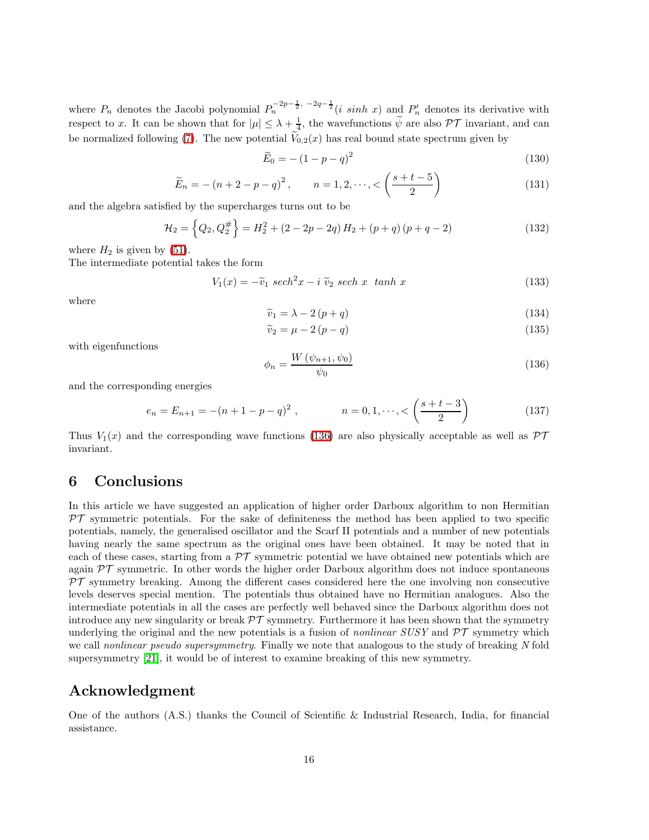where  $P_n$  denotes the Jacobi polynomial  $P_n^{-2p-\frac{1}{2}, -2q-\frac{1}{2}}(i \sinh x)$  and  $P'_n$  denotes its derivative with respect to x. It can be shown that for  $|\mu| \leq \lambda + \frac{1}{4}$ , the wavefunctions  $\tilde{\psi}$  are also PT invariant, and can be normalized following [\(7\)](#page-2-0). The new potential  $V_{0,2}(x)$  has real bound state spectrum given by

$$
\widetilde{E}_0 = -\left(1 - p - q\right)^2\tag{130}
$$

$$
\widetilde{E}_n = -(n+2-p-q)^2, \qquad n = 1, 2, \cdots, < \left(\frac{s+t-5}{2}\right)
$$
\n(131)

and the algebra satisfied by the supercharges turns out to be

$$
\mathcal{H}_2 = \left\{ Q_2, Q_2^{\#} \right\} = H_2^2 + (2 - 2p - 2q) H_2 + (p + q) (p + q - 2)
$$
\n(132)

where  $H_2$  is given by [\(51\)](#page-6-2).

The intermediate potential takes the form

$$
V_1(x) = -\tilde{v}_1 \ sech^2 x - i \ \tilde{v}_2 \ sech \ x \ \tanh x \tag{133}
$$

where

$$
\widetilde{v}_1 = \lambda - 2(p+q) \tag{134}
$$

$$
\widetilde{v}_2 = \mu - 2(p - q) \tag{135}
$$

with eigenfunctions

$$
\phi_n = \frac{W(\psi_{n+1}, \psi_0)}{\psi_0} \tag{136}
$$

and the corresponding energies

<span id="page-15-0"></span>
$$
e_n = E_{n+1} = -(n+1-p-q)^2 , \qquad n = 0, 1, \dots, < \left(\frac{s+t-3}{2}\right)
$$
 (137)

Thus  $V_1(x)$  and the corresponding wave functions [\(136\)](#page-15-0) are also physically acceptable as well as  $\mathcal{PT}$ invariant.

#### 6 Conclusions

In this article we have suggested an application of higher order Darboux algorithm to non Hermitian  $PT$  symmetric potentials. For the sake of definiteness the method has been applied to two specific potentials, namely, the generalised oscillator and the Scarf II potentials and a number of new potentials having nearly the same spectrum as the original ones have been obtained. It may be noted that in each of these cases, starting from a  $\mathcal{PT}$  symmetric potential we have obtained new potentials which are again  $\mathcal{PT}$  symmetric. In other words the higher order Darboux algorithm does not induce spontaneous  $PT$  symmetry breaking. Among the different cases considered here the one involving non consecutive levels deserves special mention. The potentials thus obtained have no Hermitian analogues. Also the intermediate potentials in all the cases are perfectly well behaved since the Darboux algorithm does not introduce any new singularity or break  $\mathcal{PT}$  symmetry. Furthermore it has been shown that the symmetry underlying the original and the new potentials is a fusion of *nonlinear SUSY* and  $\mathcal{PT}$  symmetry which we call nonlinear pseudo supersymmetry. Finally we note that analogous to the study of breaking N fold supersymmetry [\[21\]](#page-17-7), it would be of interest to examine breaking of this new symmetry.

#### Acknowledgment

One of the authors (A.S.) thanks the Council of Scientific & Industrial Research, India, for financial assistance.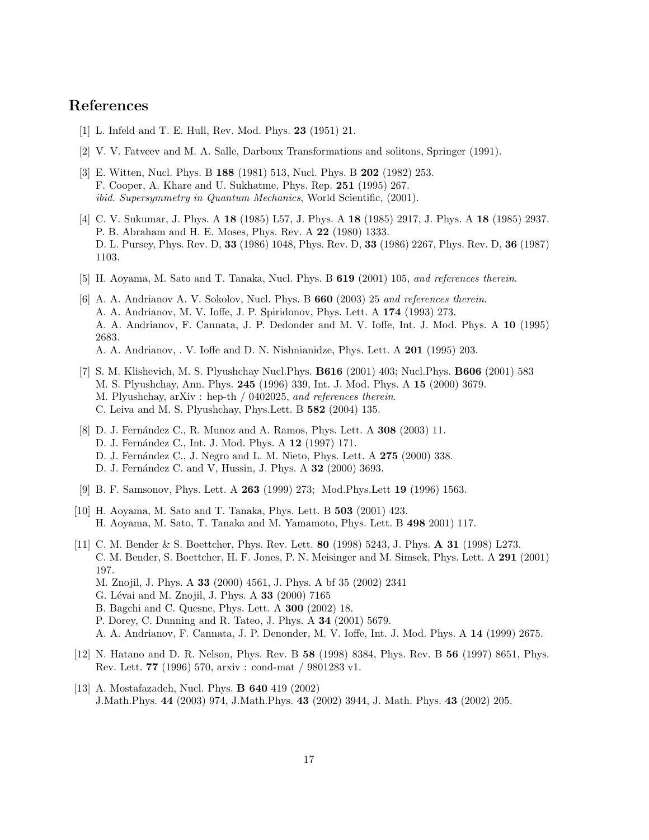### <span id="page-16-1"></span><span id="page-16-0"></span>References

- [1] L. Infeld and T. E. Hull, Rev. Mod. Phys. 23 (1951) 21.
- <span id="page-16-2"></span>[2] V. V. Fatveev and M. A. Salle, Darboux Transformations and solitons, Springer (1991).
- [3] E. Witten, Nucl. Phys. B 188 (1981) 513, Nucl. Phys. B 202 (1982) 253. F. Cooper, A. Khare and U. Sukhatme, Phys. Rep. 251 (1995) 267. ibid. Supersymmetry in Quantum Mechanics, World Scientific, (2001).
- <span id="page-16-3"></span>[4] C. V. Sukumar, J. Phys. A 18 (1985) L57, J. Phys. A 18 (1985) 2917, J. Phys. A 18 (1985) 2937. P. B. Abraham and H. E. Moses, Phys. Rev. A 22 (1980) 1333. D. L. Pursey, Phys. Rev. D, 33 (1986) 1048, Phys. Rev. D, 33 (1986) 2267, Phys. Rev. D, 36 (1987) 1103.
- <span id="page-16-5"></span><span id="page-16-4"></span>[5] H. Aoyama, M. Sato and T. Tanaka, Nucl. Phys. B **619** (2001) 105, and references therein.
- [6] A. A. Andrianov A. V. Sokolov, Nucl. Phys. B 660 (2003) 25 and references therein. A. A. Andrianov, M. V. Ioffe, J. P. Spiridonov, Phys. Lett. A 174 (1993) 273. A. A. Andrianov, F. Cannata, J. P. Dedonder and M. V. Ioffe, Int. J. Mod. Phys. A 10 (1995) 2683. A. A. Andrianov, . V. Ioffe and D. N. Nishnianidze, Phys. Lett. A 201 (1995) 203.
- <span id="page-16-6"></span>[7] S. M. Klishevich, M. S. Plyushchay Nucl.Phys. B616 (2001) 403; Nucl.Phys. B606 (2001) 583 M. S. Plyushchay, Ann. Phys. 245 (1996) 339, Int. J. Mod. Phys. A 15 (2000) 3679. M. Plyushchay, arXiv : hep-th / 0402025, and references therein. C. Leiva and M. S. Plyushchay, Phys.Lett. B 582 (2004) 135.
- <span id="page-16-7"></span>[8] D. J. Fernández C., R. Munoz and A. Ramos, Phys. Lett. A **308** (2003) 11. D. J. Fernández C., Int. J. Mod. Phys. A 12 (1997) 171. D. J. Fernández C., J. Negro and L. M. Nieto, Phys. Lett. A 275 (2000) 338. D. J. Fernández C. and V. Hussin, J. Phys. A 32 (2000) 3693.
- <span id="page-16-8"></span>[9] B. F. Samsonov, Phys. Lett. A 263 (1999) 273; Mod.Phys.Lett 19 (1996) 1563.
- <span id="page-16-9"></span>[10] H. Aoyama, M. Sato and T. Tanaka, Phys. Lett. B 503 (2001) 423. H. Aoyama, M. Sato, T. Tanaka and M. Yamamoto, Phys. Lett. B 498 2001) 117.
- <span id="page-16-10"></span>[11] C. M. Bender & S. Boettcher, Phys. Rev. Lett. 80 (1998) 5243, J. Phys. A 31 (1998) L273. C. M. Bender, S. Boettcher, H. F. Jones, P. N. Meisinger and M. Simsek, Phys. Lett. A 291 (2001) 197. M. Znojil, J. Phys. A 33 (2000) 4561, J. Phys. A bf 35 (2002) 2341 G. Lévai and M. Znojil, J. Phys. A 33 (2000) 7165 B. Bagchi and C. Quesne, Phys. Lett. A 300 (2002) 18. P. Dorey, C. Dunning and R. Tateo, J. Phys. A 34 (2001) 5679. A. A. Andrianov, F. Cannata, J. P. Denonder, M. V. Ioffe, Int. J. Mod. Phys. A 14 (1999) 2675.
- <span id="page-16-11"></span>[12] N. Hatano and D. R. Nelson, Phys. Rev. B 58 (1998) 8384, Phys. Rev. B 56 (1997) 8651, Phys. Rev. Lett. 77 (1996) 570, arxiv : cond-mat / 9801283 v1.
- <span id="page-16-12"></span>[13] A. Mostafazadeh, Nucl. Phys. B 640 419 (2002) J.Math.Phys. 44 (2003) 974, J.Math.Phys. 43 (2002) 3944, J. Math. Phys. 43 (2002) 205.